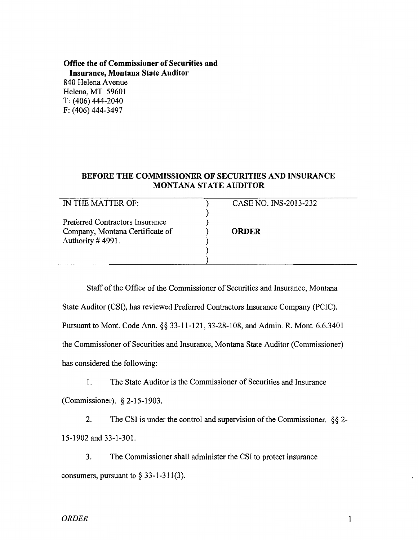**Office the of Commissioner of Securities and Insurance, Montana State Auditor** 840 Helena Avenue Helena, MT 59601 T: (406) 444-2040 F: (406) 444-3497

## **BEFORE THE COMMISSIONER OF SECURITIES AND INSURANCE MONTANA STATE AUDITOR**

| IN THE MATTER OF:               | CASE NO. INS-2013-232 |
|---------------------------------|-----------------------|
| Preferred Contractors Insurance |                       |
| Company, Montana Certificate of | <b>ORDER</b>          |
| Authority #4991.                |                       |
|                                 |                       |

has considered the following: the Commissioner of Securities and Insurance, Montana State Auditor (Commissioner) Pursuant to Mont. Code Ann. §§ 33-11-121, 33-28-108, and Admin. R. Mont. 6.6.3401 State Auditor (CSI), has reviewed Preferred Contractors Insurance Company (PCIC). Staff of the Office of the Commissioner of Securities and Insurance, Montana

(Commissioner). § 2-15-1903. 1. The State Auditor is the Commissioner of Securities and Insurance

15-1902 and 33-1-301. 2. The CSI is under the control and supervision of the Commissioner. §§ 2-

consumers, pursuant to  $\S$  33-1-311(3). 3. The Commissioner shall administer the CSI to protect insurance

 $\mathbf{1}$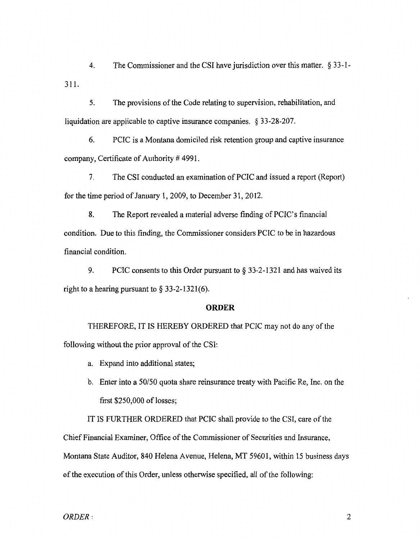311. 4. The Commissioner and the CSI have jurisdiction over this matter. § 33-1-

5. The provisions of the Code relating to supervision, rehabilitation, and liquidation are applicable to captive insurance companies. § 33-28-207.

6. PCIC is a Montana domiciled risk retention group and captive insurance company, Certificate of Authority # 4991.

7. The CSI conducted an examination of PCIC and issued a report (Report) for the time period of January 1,2009, to December 31, 2012.

8. The Report revealed a material adverse finding of PCIC's financial condition. Due to this finding, the Commissioner considers PCIC to be in hazardous financial condition.

9. PCIC consents to this Order pursuant to § 33-2-1321 and has waived its right to a hearing pursuant to  $\S 33-2-1321(6)$ .

## **ORDER**

THEREFORE, IT IS HEREBY ORDERED that PCIC may not do any of the following without the prior approval of the CSI:

a. Expand into additional states;

b. Enter into a 50/50 quota share reinsurance treaty with Pacific Re, Inc. on the first \$250,000 of losses;

IT IS FURTHER ORDERED that PCIC shall provide to the CSI, care of the Chief Financial Examiner, Office of the Commissioner of Securities and Insurance, Montana State Auditor, 840 Helena Avenue, Helena, MT 59601, within 15 business days of the execution of this Order, unless otherwise specified, all of the following:

 $ORDER:$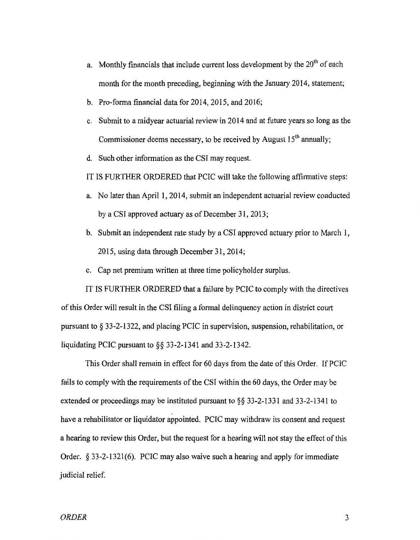- a. Monthly financials that include current loss development by the  $20<sup>th</sup>$  of each month for the month preceding, beginning with the January 2014, statement;
- b. Pro-forma financial data for  $2014$ ,  $2015$ , and  $2016$ ;
- c. Submit to a midyear actuarial review in 2014 and at future years so long as the Commissioner deems necessary, to be received by August  $15<sup>th</sup>$  annually;
- d. Such other information as the CSI may request.
- IT IS FURTHER ORDERED that PCIC will take the following affirmative steps:
- a. No later than April 1,2014, submit an independent actuarial review conducted by a CSI approved actuary as of December 31, 2013;
- b. Submit an independent rate study by a CSI approved actuary prior to March 1, 2015, using data through December 31,2014;
- c. Cap net premium written at three time policyholder surplus.

IT IS FURTHER ORDERED that a failure by PCIC to comply with the directives of this Order will result in the CSI filing a formal delinquency action in district court pursuant to § 33-2-1322, and placing PCIC in supervision, suspension, rehabilitation, or liquidating PCIC pursuant to §§ 33-2-1341 and 33-2-1342.

This Order shall remain in effect for 60 days from the date of this Order. If PCIC fails to comply with the requirements of the CSI within the 60 days, the Order may be extended or proceedings may be instituted pursuant to §§ 33-2-1331 and 33-2-1341 to have a rehabilitator or liquidator appointed. PCIC may withdraw its consent and request a hearing to review this Order, but the request for a hearing will not stay the effect of this Order. § 33-2-1321(6). PCIC may also waive such a hearing and apply for immediate judicial relief.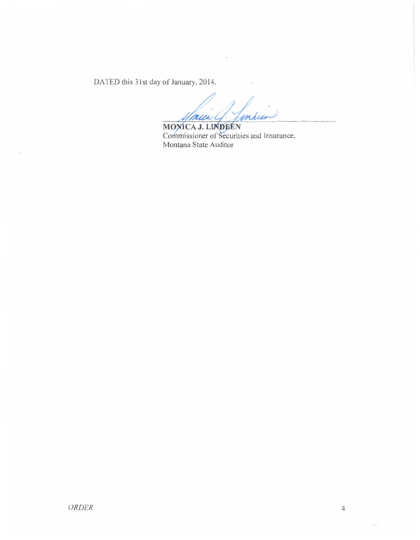DATED this 31st day of January, 2014.

inde munch. MONICA J. LINDEEN

Commissioner of Securities and Insurance, Montana State Auditor

 $\overline{4}$